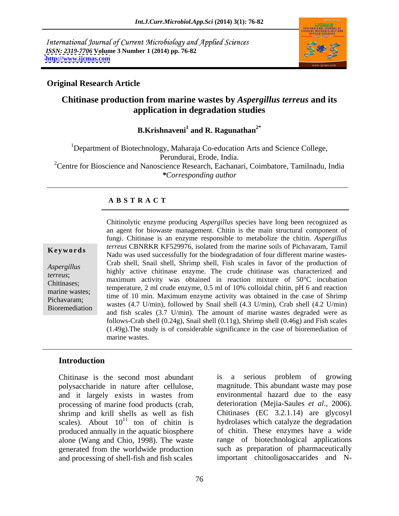International Journal of Current Microbiology and Applied Sciences *ISSN: 2319-7706* **Volume 3 Number 1 (2014) pp. 76-82 <http://www.ijcmas.com>**



### **Original Research Article**

### **Chitinase production from marine wastes by** *Aspergillus terreus* **and its application in degradation studies**

### B.Krishnaveni<sup>1</sup> and R. Ragunathan<sup>2\*</sup>  **and R. Ragunathan2\***

<sup>1</sup>Department of Biotechnology, Maharaja Co-education Arts and Science College, Perundurai, Erode, India.<br><sup>2</sup>Centre for Bioscience and Nanoscience Research, Eachanari, Coimbatore, Tamilnadu, India *\*Corresponding author* 

### **A B S T R A C T**

**Keywords**<br>
Nadu was used successfully for the biodegradation of four different marine wastes-*Aspergillus*<br>
highly active chitinase enzyme. The crude chitinase was characterized and<br>
highly active chitinase enzyme. The crude chitinase was characterized and *terreus*; https://www.active.com/active.com/active.com/active.com/active.com/active.com/active.com/active.com/active.com/active.com/active.com/active.com/active.com/active.com/active.com/active.com/active.com/active.com/a Chitinases; maximum activity was obtained in reaction mixture of 50°C incubation marine wastes;<br>
time of 10 min. Maximum enzyme activity was obtained in the case of Shrimp Pichavaram;<br>
wastes (4.7 U/min), followed by Snail shell (4.3 U/min), Crab shell (4.2 U/min) Bioremediation wastes  $(4.7 \text{ U/min})$ , followed by Shan shen  $(4.5 \text{ U/min})$ , Clab shen  $(4.2 \text{ U/min})$ <br>and fish scales  $(3.7 \text{ U/min})$ . The amount of marine wastes degraded were as Chitinolytic enzyme producing *Aspergillus* species have long been recognized as an agent for biowaste management. Chitin is the main structural component of fungi. Chitinase is an enzyme responsible to metabolize the chitin. *Aspergillus terreus* CBNRKR KF529976*,* isolated from the marine soils of Pichavaram, Tamil Crab shell, Snail shell, Shrimp shell, Fish scales in favor of the production of temperature, 2 ml crude enzyme, 0.5 ml of 10% colloidal chitin, pH 6 and reaction follows-Crab shell (0.24g), Snail shell (0.11g), Shrimp shell (0.46g) and Fish scales (1.49g).The study is of considerable significance in the case of bioremediation of marine wastes.

### **Introduction**

polysaccharide in nature after cellulose, and it largely exists in wastes from processing of marine food products (crab, shrimp and krill shells as well as fish scales). About  $10^{11}$  ton of chitin is produced annually in the aquatic biosphere alone (Wang and Chio, 1998). The waste generated from the worldwide production and processing of shell-fish and fish scales

Chitinase is the second most abundant is a serious problem of growing <sup>11</sup> ton of chitin is hydrolases which catalyze the degradation is a serious problem of growing magnitude. This abundant waste may pose environmental hazard due to the easy deterioration (Mejia-Saules *et al*., 2006). Chitinases (EC 3.2.1.14) are glycosyl of chitin. These enzymes have a wide range of biotechnological applications such as preparation of pharmaceutically important chitooligosaccarides and N-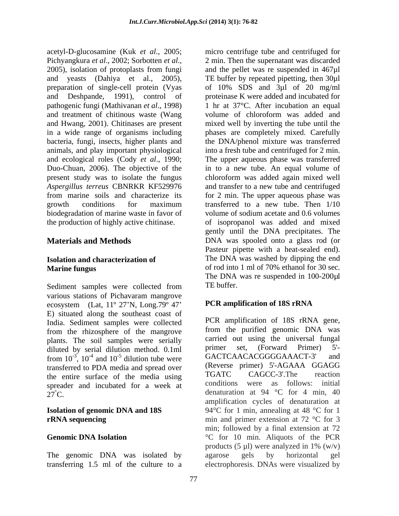acetyl-D-glucosamine (Kuk *et al*., 2005; micro centrifuge tube and centrifuged for Pichyangkura *et al.*, 2002; Sorbotten *et al.*, 2001. Then the supernatant was discarded 2005), isolation of protoplasts from fungi and the pellet was re suspended in 467µl and yeasts (Dahiya et al., 2005), TE buffer by repeated pipetting, then 30µl preparation of single-cell protein (Vyas of 10% SDS and 3ul of 20 mg/ml and Deshpande, 1991), control of proteinase K were added and incubated for pathogenic fungi (Mathivanan *et al*., 1998) and treatment of chitinous waste (Wang and Hwang, 2001). Chitinases are present mixed well by inverting the tube until the in a wide range of organisms including phases are completely mixed. Carefully bacteria, fungi, insects, higher plants and the DNA/phenol mixture was transferred animals, and play important physiological and ecological roles (Cody *et al*., 1990; The upper aqueous phase was transferred Duo-Chuan, 2006). The objective of the present study was to isolate the fungus *Aspergillus terreus* CBNRKR KF529976 and transfer to a new tube and centrifuged from marine soils and characterize its for 2 min. The upper aqueous phase was growth conditions for maximum transferred to a new tube. Then  $1/10$ biodegradation of marine waste in favor of volume of sodium acetate and 0.6 volumes the production of highly active chitinase. of isopropanol was added and mixed

Sediment samples were collected from TE buffer. various stations of Pichavaram mangrove ecosystem (Lat,  $11^{\circ}$  27'N, Long.79 $^{\circ}$  47' E) situated along the southeast coast of India. Sediment samples were collected from the rhizosphere of the mangrove plants. The soil samples were serially carried out using the universal tungal<br>diluted by sorial dilution method 0.1ml primer set. (Forward Primer) 5'diluted by serial dilution method.  $0.1 \text{ml}$  primer set, (Forward Primer) 5<sup>-1</sup><br>from  $10^{-3}$ ,  $10^{-4}$  and  $10^{-5}$  dilution type was GACTCAACACGGGAAACT-3' and transferred to PDA media and spread over (Reverse primer) 5'-AGAAA GGAGG<br>the ontire surface of the media using TGATC CAGCC-3'.The reaction the entire surface of the media using

The genomic DNA was isolated by agarose gels by horizontal gel

**Materials and Methods DNA** was spooled onto a glass rod (or **Isolation and characterization of**  The DNA was washed by dipping the end **Marine fungus** of rod into 1 ml of 70% ethanol for 30 sec. 2 min. Then the supernatant was discarded and the pellet was re suspended in 467µl of 10% SDS and 3µl of 20 mg/ml 1 hr at 37°C. After incubation an equal volume of chloroform was added and into a fresh tube and centrifuged for 2 min. in to a new tube. An equal volume of chloroform was added again mixed well transferred to a new tube.Then 1/10 volume of sodium acetate and 0.6 volumes gently until the DNA precipitates. The Pasteur pipette with a heat-sealed end). of rod into 1 ml of 70% ethanol for 30 sec. The DNA was re suspended in 100-200µl TE buffer.

### **PCR amplification of 18S rRNA**

from  $10^{-3}$ ,  $10^{-4}$  and  $10^{-5}$  dilution tube were GACTCAACACGGGGAAACT-3 and  $-3$ ,  $10^{-4}$  and  $10^{-5}$  dilution tube were GACTCAACACGGGGAAACT-3' and dilution tube were  $GACICAACGGGGAAC1-3$  and spreader and incubated for a week at conditions were as follows: initial denaturation at  $94\degree C$  for  $4\degree \text{min}$ ,  $40\degree C$ . **Isolation of genomic DNA and 18S** 94°C for 1 min, annealing at 48 °C for 1 **rRNA sequencing** min and primer extension at 72 °C for 3 **Genomic DNA Isolation** <sup>o</sup>C for 10 min. Aliquots of the PCR transferring 1.5 ml of the culture to a electrophoresis. DNAs were visualized byPCR amplification of 18S rRNA gene, from the purified genomic DNA was carried out using the universal fungal primer set, (Forward Primer) 5'- (Reverse primer) 5'-AGAAA GGAGG TGATC CAGCC-3'.The reaction conditions were as follows: initial denaturation at 94 °C for 4 min, 40 amplification cycles of denaturation at min; followed by a final extension at 72 products  $(5 \mu l)$  were analyzed in 1%  $(w/v)$ agarose gels by horizontal gel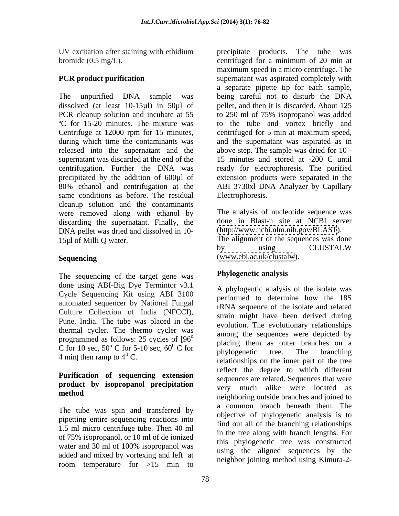bromide (0.5 mg/L).

Centrifuge at 12000 rpm for 15 minutes, same conditions as before. The residual cleanup solution and the contaminants were removed along with ethanol by discarding the supernatant. Finally, the DNA pellet was dried and dissolved in 10- 15µl of Milli Q water. The alignment of the sequences was done

The sequencing of the target gene was done using ABI-Big Dye Termintor v3.1 Cycle Sequencing Kit using ABI 3100 automated sequencer by National Fungal Culture Collection of India (NFCCI), Pune, India. The tube was placed in the thermal cycler. The thermo cycler was programmed as follows: 25 cycles of [96

## **Purification of sequencing extension product by isopropanol precipitation**

The tube was spin and transferred by pipetting entire sequencing reactions into 1.5 ml micro centrifuge tube. Then 40 ml of 75% isopropanol, or 10 ml of de ionized water and 30 ml of 100% isopropanol was added and mixed by vortexing and left at room temperature for >15 min to

UV excitation after staining with ethidium precipitate products. The tube was **PCR product purification** supernatant was aspirated completely with The unpurified DNA sample was being careful not to disturb the DNA dissolved (at least 10-15µl) in 50µl of pellet, and then it is discarded. About 125 PCR cleanup solution and incubate at 55 to 250 ml of 75% isopropanol was added ºC for 15-20 minutes. The mixture was to the tube and vortex briefly and during which time the contaminants was and the supernatant was aspirated as in released into the supernatant and the above step. The sample was dried for 10 supernatant was discarded at the end of the 15 minutes and stored at -200 C until centrifugation. Further the DNA was ready for electrophoresis. The purified precipitated by the addition of 600µl of extension products were separated in the 80% ethanol and centrifugation at the ABI 3730xl DNA Analyzer by Capillary centrifuged for a minimum of 20 min at maximum speed in a micro centrifuge. The a separate pipette tip for each sample, centrifuged for 5 min at maximum speed, Electrophoresis.

Sequencing **Sequencing Sequencing Sequencing Sequencing Sequencing Sequencing Sequencing Sequencing Sequencing Sequencing Sequencing Sequencing Sequencing Sequence Sequence Sequence Sequence** The analysis of nucleotide sequence was done in Blast-n site at NCBI server [\(http://www.ncbi.nlm.nih.gov/BLAST](http://www.ncbi.nlm.nih.gov/BLAST)). by using CLUSTALW [\(www.ebi.ac.uk/clustalw](http://www.ebi.ac.uk/clustalw)).

### **Phylogenetic analysis**

programmed as follows: 25 cycles of  $[96^\circ$  annong the sequences were depicted by<br>C for 10 sec,  $50^\circ$  C for 5-10 sec,  $60^\circ$  C for the phylogenetic tree. The proposition  $\degree$  C for 5-10 sec,  $60^{\circ}$  C for placing them as outer planetics on a  $\frac{0}{0}$  C for  $\frac{0}{0}$  placing them as outer branching branching  $4 \text{ min}$  then ramp to  $4^{\circ}$  C.<br> $\frac{\text{polylogene}}{\text{relations}}$  on the inner part of the tree C. relationships on the inner part of the tree **method**<br>
neighboring outside branches and joined to A phylogentic analysis of the isolate was performed to determine how the 18S rRNA sequence of the isolate and related strain might have been derived during evolution. The evolutionary relationships among the sequences were depicted by placing them as outer branches on a phylogenetic tree. The branching reflect the degree to which different sequences are related. Sequences that were very much alike were located as a common branch beneath them. The objective of phylogenetic analysis is to find out all of the branching relationships in the tree along with branch lengths. For this phylogenetic tree was constructed using the aligned sequences by the neighbor joining method using Kimura-2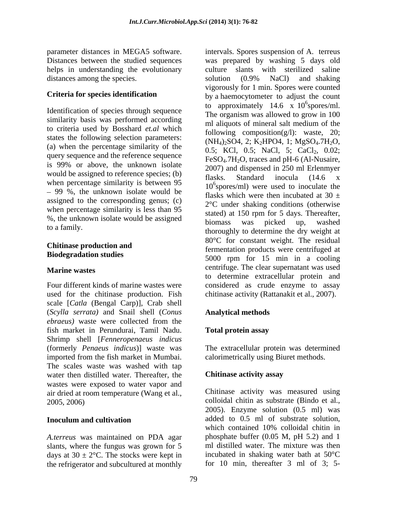distances among the species. Solution (0.9% NaCl) and shaking

Identification of species through sequence similarity basis was performed according<br>ml aliquots of mineral salt medium of the to criteria used by Bosshard *et.al* which states the following selection parameters: (a) when the percentage similarity of the query sequence and the reference sequence is 99% or above, the unknown isolate would be assigned to reference species; (b)  $\frac{2007}{\text{flasks}}$  Standard inocula (14.6 x) when percentage similarity is between 95 99 %, the unknown isolate would be assigned to the corresponding genus; (c) when percentage similarity is less than 95 %, the unknown isolate would be assigned<br>biomass was picked up, washed

used for the chitinase production. Fish scale [*Catla* (Bengal Carp)], Crab shell (*Scylla serrata)* and Snail shell (*Conus ebraeus)* waste were collected from the fish market in Perundurai, Tamil Nadu. Shrimp shell [*Fenneropenaeus indicus* (formerly *Penaeus indicus*)] waste was The extracellular protein was determined imported from the fish market in Mumbai. The scales waste was washed with tap water then distilled water. Thereafter, the **Chitinese activity assay** wastes were exposed to water vapor and air dried at room temperature (Wang et al.,

*A.terreus* was maintained on PDA agar slants, where the fungus was grown for 5 days at  $30 \pm 2$ °C. The stocks were kept in the refrigerator and subcultured at monthly

parameter distances in MEGA5 software. intervals. Spores suspension of A. terreus Distances between the studied sequences was prepared by washing 5 days old helps in understanding the evolutionary culture slants with sterilized saline **Criteria for species identification** by a haemocytometer to adjust the count to a family.<br>thoroughly to determine the dry weight at **Chitinase production and EXECUTE: CONSTRAIN WEIGHT:** The residual fermentation products were centrifuged at **Biodegradation studies**<br>
5000 rpm for 15 min in a cooling **Marine wastes** entrifuge. The clear supernatant was used Four different kinds of marine wastes were considered as crude enzyme to assay solution (0.9% NaCl) and shaking vigorously for 1 min. Spores were counted to approximately 14.6 x  $10^6$ spores/ml.  $^{6}$ sporos/ml spores/ml. The organism was allowed to grow in 100 ml aliquots of mineral salt medium of the following composition( $g/l$ ): waste, 20;  $(NH_4)_2SO4$ , 2; K<sub>2</sub>HPO4, 1; MgSO<sub>4</sub>.7H<sub>2</sub>O, 0.5; KCl, 0.5; NaCl, 5; CaCl<sub>2</sub>, 0.02;  $FeSO<sub>4</sub>$ .7H<sub>2</sub>O, traces and pH-6 (Al-Nusaire, 2007) and dispensed in 250 ml Erlenmyer flasks. Standard inocula (14.6 x 10<sup>6</sup> spores/ml) were used to inoculate the flasks which were then incubated at 30  $\pm$ 2°C under shaking conditions (otherwise stated) at 150 rpm for 5 days. Thereafter, biomass was picked up, washed 80°C for constant weight. The residual to determine extracellular protein and chitinase activity (Rattanakit et al., 2007).

### **Analytical methods**

### **Total protein assay**

calorimetrically using Biuret methods.

### **Chitinase activity assay**

2005, 2006) colloidal chitin as substrate (Bindo et al., **Inoculum and cultivation** and **added** to 0.5 ml of substrate solution, Chitinase activity was measured using 2005). Enzyme solution (0.5 ml) was which contained 10% colloidal chitin in phosphate buffer (0.05 M, pH 5.2) and 1 ml distilled water. The mixture was then incubated in shaking water bath at 50°C for 10 min, thereafter 3 ml of 3; 5-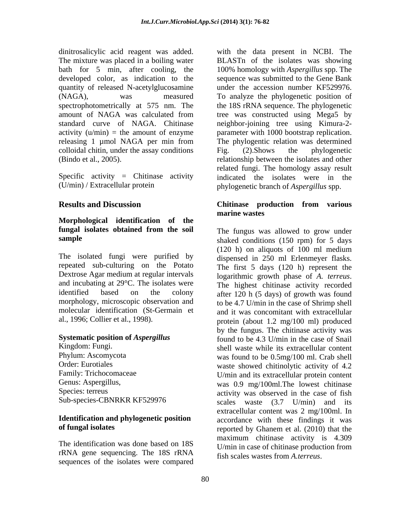quantity of released N-acetylglucosamine and under the accession number KF529976. (NAGA), was measured To analyze the phylogenetic position of colloidal chitin, under the assay conditions Fig. (2). Shows the phylogenetic

Specific activity = Chitinase activity  $(U/\text{min})$  / Extracellular protein

# **Morphological identification of the fungal isolates obtained from the soil**

The isolated fungi were purified by dispensed in 250 ml Erlenmeyer flasks. repeated sub-culturing on the Potato The first 5 days (120 h) represent the Dextrose Agar medium at regular intervals logarithmic growth phase of A. terreus. and incubating at 29°C. The isolates were The highest chitinase activity recorded morphology, microscopic observation and

# **Identification and phylogenetic position**

The identification was done based on 18S rRNA gene sequencing. The 18S rRNA sequences of the isolates were compared

dinitrosalicylic acid reagent was added. with the data present in NCBI. The The mixture was placed in a boiling water BLASTn of the isolates was showing bath for 5 min, after cooling, the 100% homology with *Aspergillus* spp. The developed color, as indication to the sequence was submitted to the Gene Bank spectrophotometrically at 575 nm. The the 18S rRNA sequence. The phylogenetic amount of NAGA was calculated from tree was constructed using Mega5 by standard curve of NAGA. Chitinase neighbor-joining tree using Kimura-2 activity (u/min) = the amount of enzyme parameter with 1000 bootstrap replication. releasing 1 µmol NAGA per min from The phylogentic relation was determined (Bindo et al., 2005). relationship between the isolates and other (U/min) / Extracellular protein phylogenetic branch of *Aspergillus* spp. under the accession number KF529976. To analyze the phylogenetic position of Fig. (2).Shows the phylogenetic related fungi. The homology assay result indicated the isolates were in the

### **Results and Discussion Chitinese Chitinese production from various Chitinase production from various marine wastes**

sample shaked conditions (150 rpm) for 5 days identified based on the colony after 120 h (5 days) of growth was found molecular identification (St-Germain et and it was concomitant with extracellular al., 1996; Collier et al., 1998). protein (about 1.2 mg/100 ml) produced **Systematic position of** *Aspergillus* found to be 4.3 U/min in the case of Snail Kingdom: Fungi. shell waste while its extracellular content Phylum: Ascomycota was found to be 0.5mg/100 ml. Crab shell Order: Eurotiales waste showed chitinolytic activity of 4.2 Family: Trichocomaceae U/min and its extracellular protein content Genus: Aspergillus, was 0.9 mg/100ml. The lowest chitinase Species: terreus activity was observed in the case of fish Sub-species-CBNRKR KF529976 scales waste (3.7 U/min) and its **of fungal isolates** reported by Ghanem et al. (2010) that the The fungus was allowed to grow under (120 h) on aliquots of 100 ml medium dispensed in <sup>250</sup> ml Erlenmeyer flasks. The first <sup>5</sup> days (120 h) represent the logarithmic growth phase of *A. terreus*. The highest chitinase activity recorded to be 4.7 U/min in the case of Shrimp shell by the fungus. The chitinase activity was extracellular content was 2 mg/100ml. In accordance with these findings it was maximum chitinase activity is 4.309 U/min in case of chitinase production from fish scales wastes from *A.terreus*.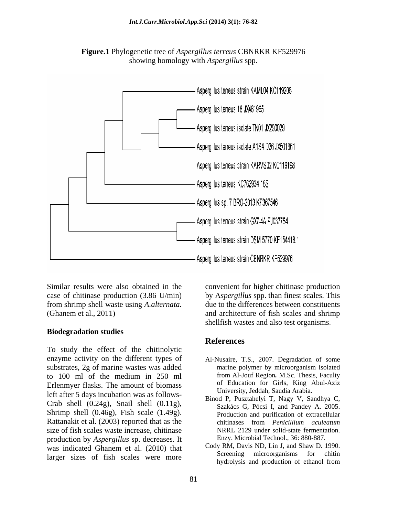



from shrimp shell waste using *A.alternata.*

### **Biodegradation studies**

To study the effect of the chitinolytic enzyme activity on the different types of substrates, 2g of marine wastes was added<br>to 100 ml of the medium in 250 ml from Al-Jouf Region, M.Sc. Thesis, Faculty to 100 ml of the medium in 250 ml Erlenmyer flasks. The amount of biomass left after 5 days incubation was as follows- Crab shell  $(0.24g)$ , Snail shell  $(0.11g)$ , Shrimp shell (0.46g), Fish scale (1.49g). Rattanakit et al. (2003) reported that as the chitinases from *Penicillium aculeatum* size of fish scales waste increase, chitinase production by *Aspergillus* sp. decreases. It was indicated Ghanem et al. (2010) that Cody RM, Davis ND, Lin J, and Shaw D. 1990.<br>Screening microorganisms for chitin larger sizes of fish scales were more

Similar results were also obtained in the convenient for higher chitinase production case of chitinase production (3.86 U/min) by A*spergillus* spp. than finest scales. This (Ghanem et al., 2011) and architecture of fish scales and shrimp due to the differences between constituents shellfish wastes and also test organisms.

### **References**

- Al-Nusaire, T.S., 2007. Degradation of some marine polymer by microorganism isolated from Al-Jouf Region*.* M.Sc. Thesis, Faculty of Education for Girls, King Abul-Aziz University, Jeddah, Saudia Arabia.
- Binod P, Pusztahelyi T, Nagy V, Sandhya C, Szakács G, Pócsi I, and Pandey A. 2005. Production and purification of extracellular chitinases from *Penicillium aculeatum* NRRL 2129 under solid-state fermentation. Enzy. Microbial Technol., 36: 880-887.
- Cody RM, Davis ND, Lin J, and Shaw D. 1990. Screening microorganisms for chitin hydrolysis and production of ethanol from